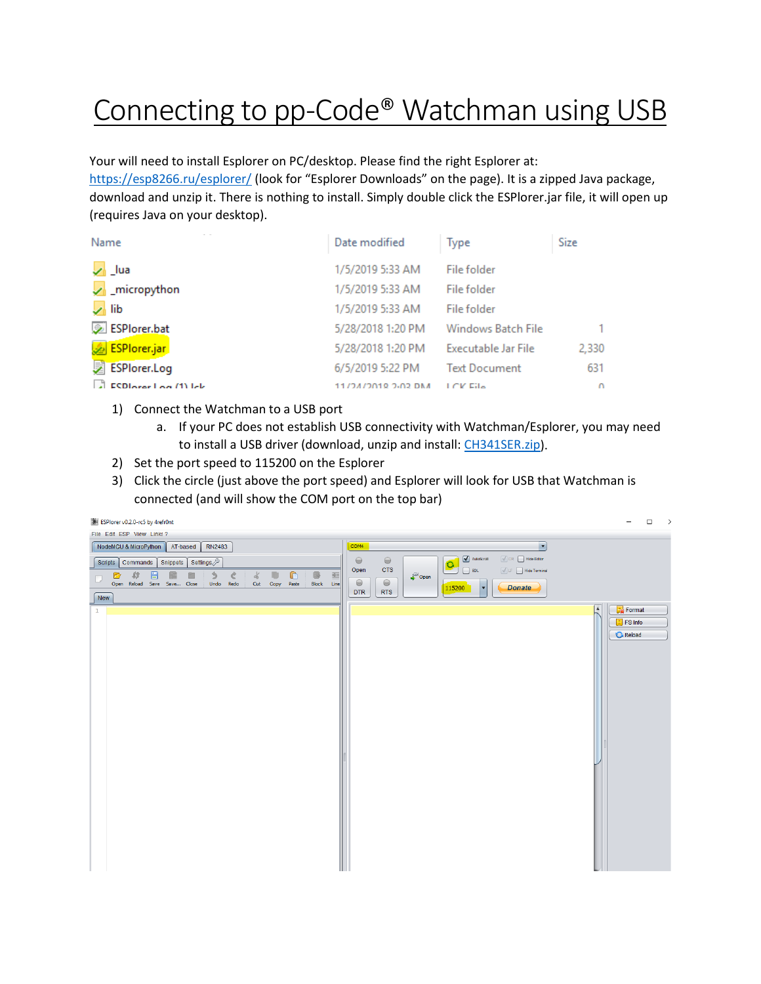## Connecting to pp-Code<sup>®</sup> Watchman using USB

Your will need to install Esplorer on PC/desktop. Please find the right Esplorer at:

<https://esp8266.ru/esplorer/> (look for "Esplorer Downloads" on the page). It is a zipped Java package, download and unzip it. There is nothing to install. Simply double click the ESPlorer.jar file, it will open up (requires Java on your desktop).

| Name                             | Date modified      | Type                 | <b>Size</b> |
|----------------------------------|--------------------|----------------------|-------------|
| $\sqrt{ }$ lua                   | 1/5/2019 5:33 AM   | File folder          |             |
| $\sqrt{\phantom{a}}$ micropython | 1/5/2019 5:33 AM   | File folder          |             |
| $\sqrt{ }$ lib                   | 1/5/2019 5:33 AM   | File folder          |             |
| ESPlorer.bat                     | 5/28/2018 1:20 PM  | Windows Batch File   | 1           |
| ESPlorer.jar                     | 5/28/2018 1:20 PM  | Executable Jar File  | 2,330       |
| 舅<br><b>ESPlorer.Log</b>         | 6/5/2019 5:22 PM   | <b>Text Document</b> | 631         |
| ESDIArer Log (1) lck             | 11/24/2018 2-03 DM | LCK File             | $\Omega$    |

- 1) Connect the Watchman to a USB port
	- a. If your PC does not establish USB connectivity with Watchman/Esplorer, you may need to install a USB driver (download, unzip and install: [CH341SER.zip\)](https://pp-codepaypal.azurewebsites.net/CH341SER.zip).
- 2) Set the port speed to 115200 on the Esplorer
- 3) Click the circle (just above the port speed) and Esplorer will look for USB that Watchman is connected (and will show the COM port on the top bar)

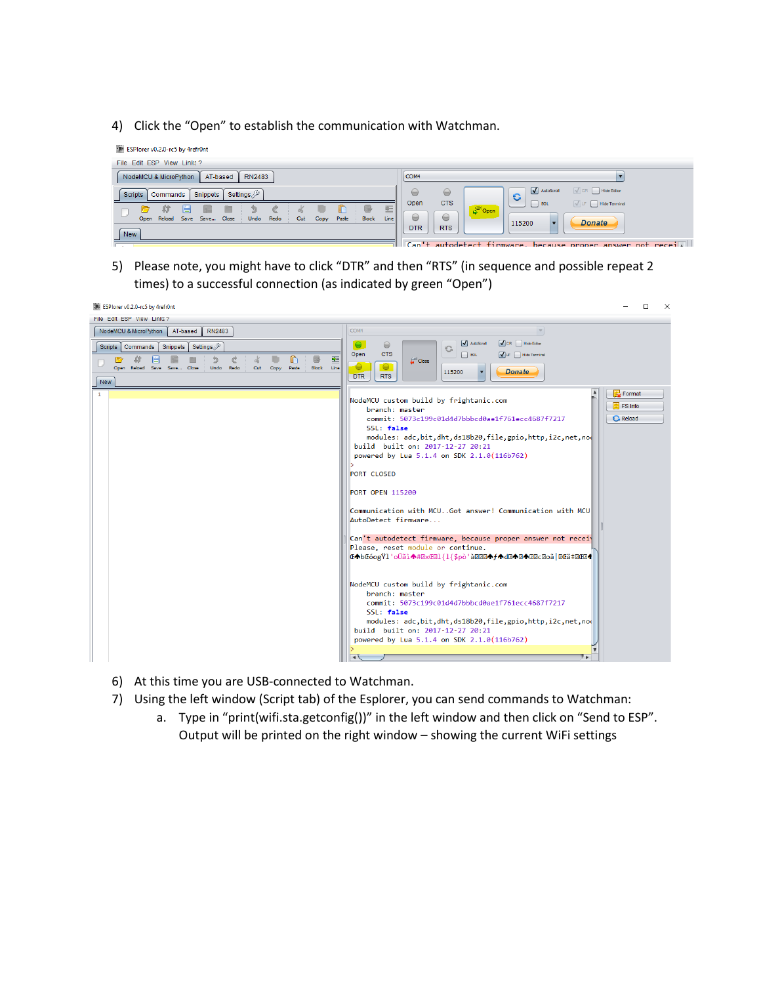4) Click the "Open" to establish the communication with Watchman.



5) Please note, you might have to click "DTR" and then "RTS" (in sequence and possible repeat 2 times) to a successful connection (as indicated by green "Open")



- 6) At this time you are USB-connected to Watchman.
- 7) Using the left window (Script tab) of the Esplorer, you can send commands to Watchman:
	- a. Type in "print(wifi.sta.getconfig())" in the left window and then click on "Send to ESP". Output will be printed on the right window – showing the current WiFi settings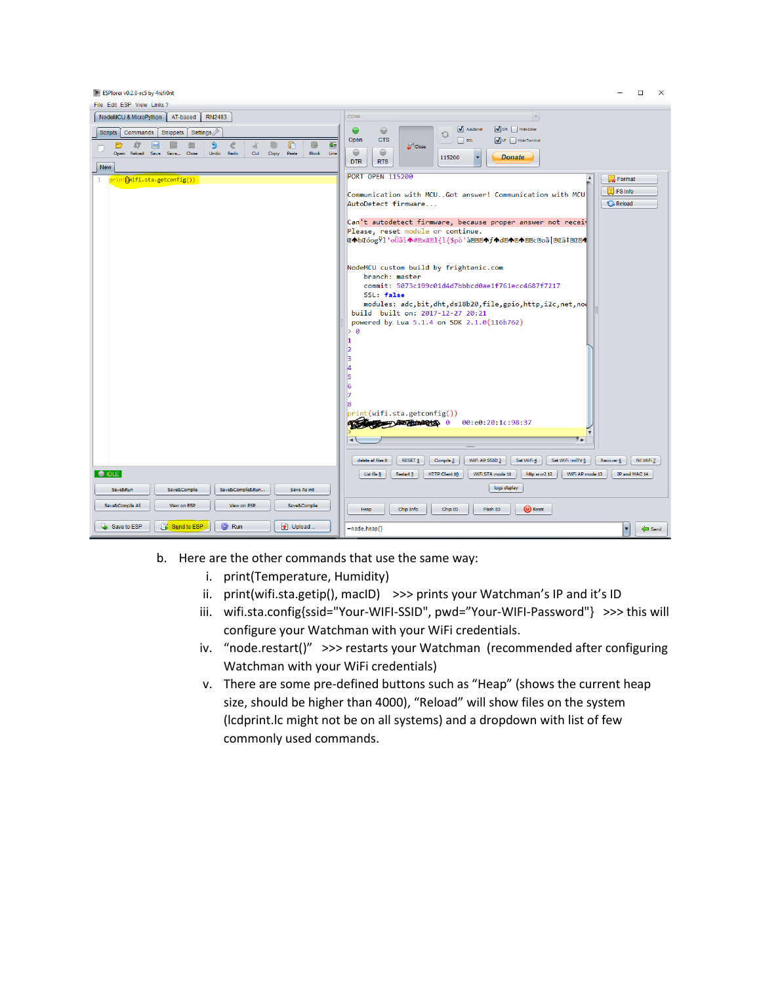ESPlorer v0.2.0-rc5 by 4refr0nt  $\Box$  $\times$ File Edit ESP View Links? NodeMCU & MicroPython AT-based RN2483 COM4  $\mathbf v$  $\bullet$  $\sqrt{C}$  CR  $\sqrt{C}$  Hide Ed AutoScroll Scripts Commands Snippets Settings  $\bigcirc$  $\bigcirc$ Open **CTS**  $\hfill\Box$  <br> EOL  $\sum_{\text{Undo}}$ C D r 氐 <sup>2</sup> Close Copy  $Paste$  $\ominus$  $\Theta$  $_{\text{cut}}$  $\overline{\phantom{a}}$ 115200 **Donate** DTR RTS  $\sqrt{\text{New}}$ **PORT OPEN 115200** Format print(<mark>(wifi.sta.getconfig())</mark>  $F$  FS Info Communication with MCU..Got answer! Communication with MCU AutoDetect firmware... **G** Reload Can't autodetect firmware, because proper answer not receiv Please, reset module or continue. **Œ◆bŒóogŸl'oÜãì↑#ExŒEl{l{\$pò'àEE@◆f◆d@◆E◆E**@Z@aä|EŒä‡EŒ@ NodeMCU custom build by frightanic.com branch: master commit: 5073c199c01d4d7bbbcd0ae1f761ecc4687f7217 SSL: false modules: adc,bit,dht,ds18b20,file,gpio,http,i2c,net,now<br>build built on: 2017-12-27 20:21 powered by Lua 5.1.4 on SDK 2.1.0(116b762) rint(wifi.sta.getconfig())  $99.99.28.10.98.37$ **COMMENT AND PLAN OF BUILDINGS** π.  $\fbox{\parbox{1.5in}{ \emph{dekte all files 0}}} \quad \fbox{\parbox{1.5in}{ {\emph{ResET_1}}}} \quad \fbox{\parbox{1.5in}{ \emph{Compile_2}}} \quad \fbox{\parbox{1.5in}{ \emph{WIF-AP}} } \quad \fbox{\parbox{1.5in}{ \emph{Set}} } \quad \fbox{\parbox{1.5in}{ \emph{Set}} } \quad \fbox{\parbox{1.5in}{ \emph{Set}} } \quad \fbox{\parbox{1.5in}{ \emph{WIF-entIV}} } \quad \fbox{\parbox{1.5in}{ \emph{Recover_1}}} \quad \fbox{\parbox{1.5in}{ \$  $\n **IDLE**\n$ [List file 8] [Restart 9] [HTTP Client 10] [WIFI STA mode 11] [http srvr2 12] [WIFI AP mode 13] [IP and MAC 14] logs display Save&Run Save&Compile | Save&Compile&Run... | Save As init Save&Compile All View on ESP Save&Compile Heap | Chip Info | Chip ID | Flash ID | U Reset Save to ESP | **F** Send to ESP | **C** Run the Upload  $\bullet$  Send =node.heap()

- b. Here are the other commands that use the same way:
	- i. print(Temperature, Humidity)
	- ii. print(wifi.sta.getip(), macID) >>> prints your Watchman's IP and it's ID
	- iii. wifi.sta.config{ssid="Your-WIFI-SSID", pwd="Your-WIFI-Password"} >>> this will configure your Watchman with your WiFi credentials.
	- iv. "node.restart()" >>> restarts your Watchman (recommended after configuring Watchman with your WiFi credentials)
	- v. There are some pre-defined buttons such as "Heap" (shows the current heap size, should be higher than 4000), "Reload" will show files on the system (lcdprint.lc might not be on all systems) and a dropdown with list of few commonly used commands.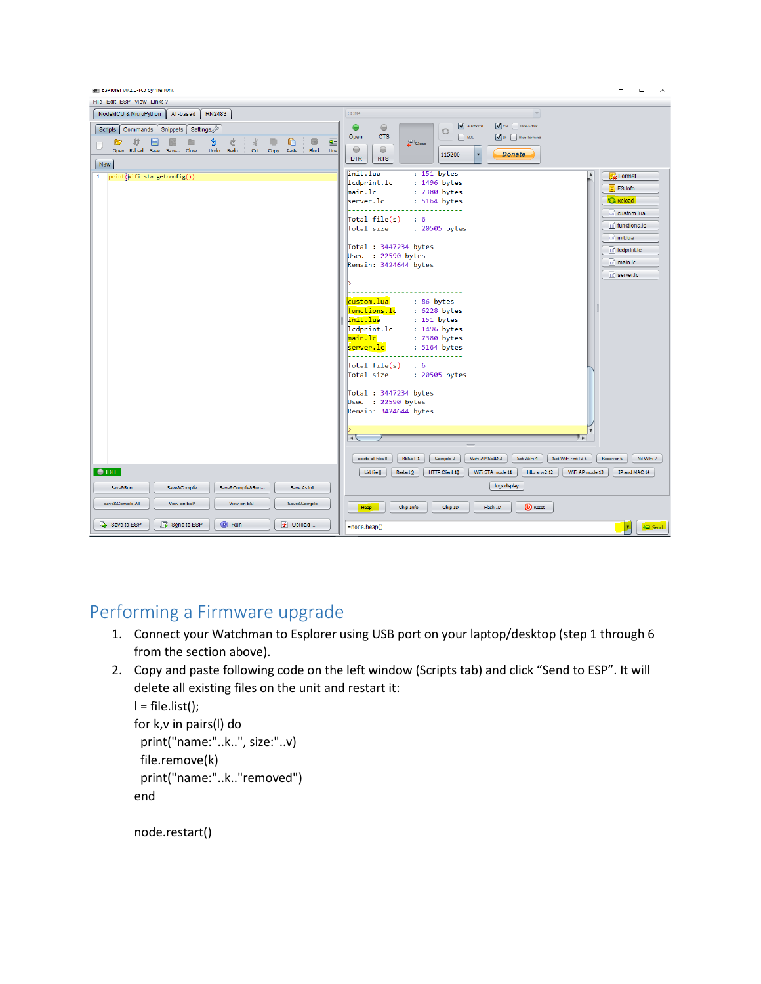

## Performing a Firmware upgrade

- 1. Connect your Watchman to Esplorer using USB port on your laptop/desktop (step 1 through 6 from the section above).
- 2. Copy and paste following code on the left window (Scripts tab) and click "Send to ESP". It will delete all existing files on the unit and restart it:

```
l = file-list();
for k,v in pairs(l) do
  print("name:"..k..", size:"..v)
  file.remove(k)
  print("name:"..k.."removed")
end
```
node.restart()